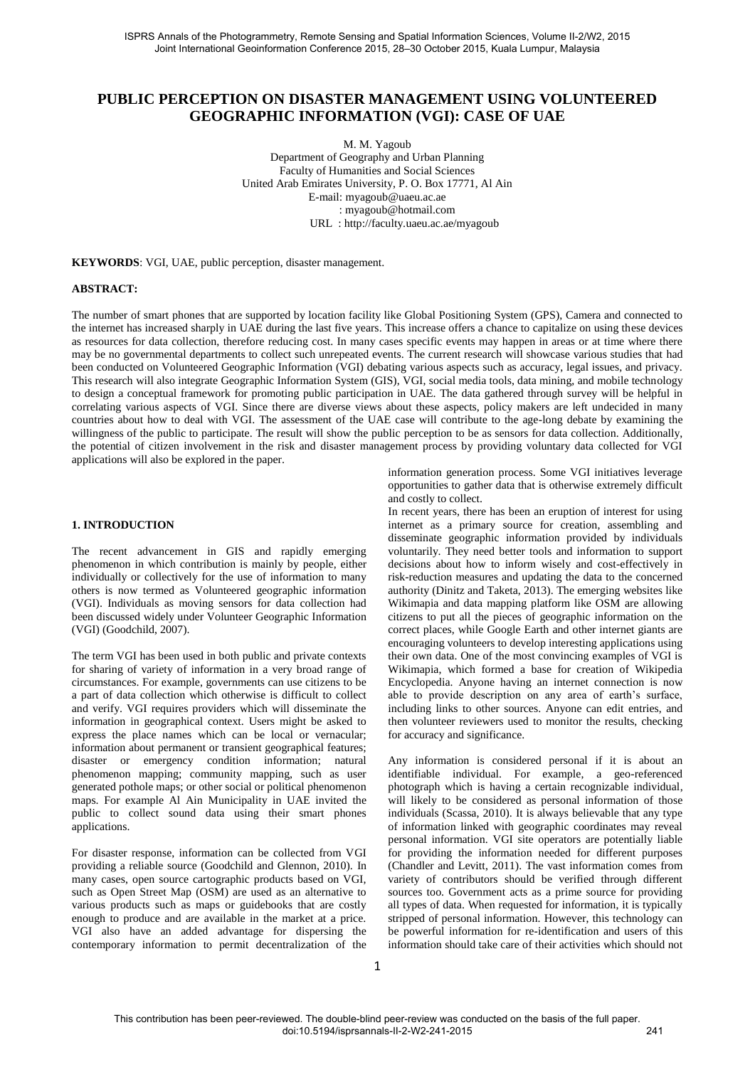# **PUBLIC PERCEPTION ON DISASTER MANAGEMENT USING VOLUNTEERED GEOGRAPHIC INFORMATION (VGI): CASE OF UAE**

M. M. Yagoub Department of Geography and Urban Planning Faculty of Humanities and Social Sciences United Arab Emirates University, P. O. Box 17771, Al Ain E-mail: myagoub@uaeu.ac.ae : myagoub@hotmail.com URL : http://faculty.uaeu.ac.ae/myagoub

**KEYWORDS**: VGI, UAE, public perception, disaster management.

#### **ABSTRACT:**

The number of smart phones that are supported by location facility like Global Positioning System (GPS), Camera and connected to the internet has increased sharply in UAE during the last five years. This increase offers a chance to capitalize on using these devices as resources for data collection, therefore reducing cost. In many cases specific events may happen in areas or at time where there may be no governmental departments to collect such unrepeated events. The current research will showcase various studies that had been conducted on Volunteered Geographic Information (VGI) debating various aspects such as accuracy, legal issues, and privacy. This research will also integrate Geographic Information System (GIS), VGI, social media tools, data mining, and mobile technology to design a conceptual framework for promoting public participation in UAE. The data gathered through survey will be helpful in correlating various aspects of VGI. Since there are diverse views about these aspects, policy makers are left undecided in many countries about how to deal with VGI. The assessment of the UAE case will contribute to the age-long debate by examining the willingness of the public to participate. The result will show the public perception to be as sensors for data collection. Additionally, the potential of citizen involvement in the risk and disaster management process by providing voluntary data collected for VGI applications will also be explored in the paper.

#### **1. INTRODUCTION**

The recent advancement in GIS and rapidly emerging phenomenon in which contribution is mainly by people, either individually or collectively for the use of information to many others is now termed as Volunteered geographic information (VGI). Individuals as moving sensors for data collection had been discussed widely under Volunteer Geographic Information (VGI) (Goodchild, 2007).

The term VGI has been used in both public and private contexts for sharing of variety of information in a very broad range of circumstances. For example, governments can use citizens to be a part of data collection which otherwise is difficult to collect and verify. VGI requires providers which will disseminate the information in geographical context. Users might be asked to express the place names which can be local or vernacular; information about permanent or transient geographical features; disaster or emergency condition information; natural phenomenon mapping; community mapping, such as user generated pothole maps; or other social or political phenomenon maps. For example Al Ain Municipality in UAE invited the public to collect sound data using their smart phones applications.

For disaster response, information can be collected from VGI providing a reliable source (Goodchild and Glennon, 2010). In many cases, open source cartographic products based on VGI, such as Open Street Map (OSM) are used as an alternative to various products such as maps or guidebooks that are costly enough to produce and are available in the market at a price. VGI also have an added advantage for dispersing the contemporary information to permit decentralization of the

information generation process. Some VGI initiatives leverage opportunities to gather data that is otherwise extremely difficult and costly to collect.

In recent years, there has been an eruption of interest for using internet as a primary source for creation, assembling and disseminate geographic information provided by individuals voluntarily. They need better tools and information to support decisions about how to inform wisely and cost-effectively in risk-reduction measures and updating the data to the concerned authority (Dinitz and Taketa, 2013). The emerging websites like Wikimapia and data mapping platform like OSM are allowing citizens to put all the pieces of geographic information on the correct places, while Google Earth and other internet giants are encouraging volunteers to develop interesting applications using their own data. One of the most convincing examples of VGI is Wikimapia, which formed a base for creation of Wikipedia Encyclopedia. Anyone having an internet connection is now able to provide description on any area of earth's surface, including links to other sources. Anyone can edit entries, and then volunteer reviewers used to monitor the results, checking for accuracy and significance.

Any information is considered personal if it is about an identifiable individual. For example, a geo-referenced photograph which is having a certain recognizable individual, will likely to be considered as personal information of those individuals (Scassa, 2010). It is always believable that any type of information linked with geographic coordinates may reveal personal information. VGI site operators are potentially liable for providing the information needed for different purposes (Chandler and Levitt, 2011). The vast information comes from variety of contributors should be verified through different sources too. Government acts as a prime source for providing all types of data. When requested for information, it is typically stripped of personal information. However, this technology can be powerful information for re-identification and users of this information should take care of their activities which should not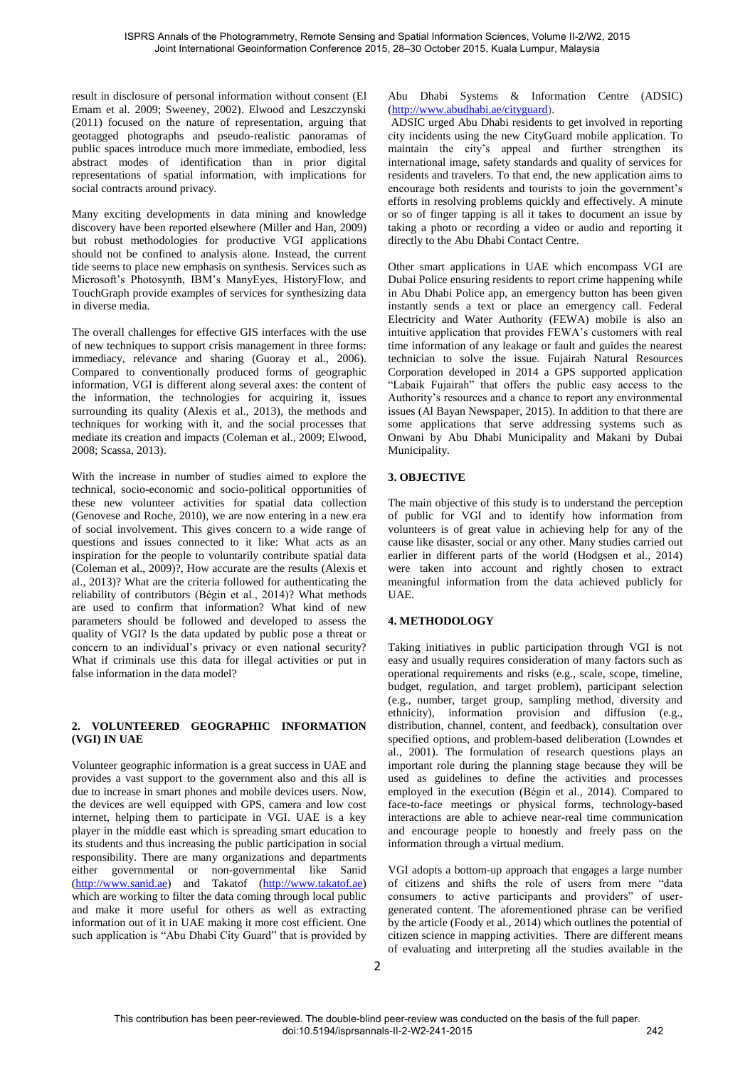result in disclosure of personal information without consent (El Emam et al. 2009; Sweeney, 2002). Elwood and Leszczynski (2011) focused on the nature of representation, arguing that geotagged photographs and pseudo-realistic panoramas of public spaces introduce much more immediate, embodied, less abstract modes of identification than in prior digital representations of spatial information, with implications for social contracts around privacy.

Many exciting developments in data mining and knowledge discovery have been reported elsewhere (Miller and Han, 2009) but robust methodologies for productive VGI applications should not be confined to analysis alone. Instead, the current tide seems to place new emphasis on synthesis. Services such as Microsoft's Photosynth, IBM's ManyEyes, HistoryFlow, and TouchGraph provide examples of services for synthesizing data in diverse media.

The overall challenges for effective GIS interfaces with the use of new techniques to support crisis management in three forms: immediacy, relevance and sharing (Guoray et al., 2006). Compared to conventionally produced forms of geographic information, VGI is different along several axes: the content of the information, the technologies for acquiring it, issues surrounding its quality (Alexis et al., 2013), the methods and techniques for working with it, and the social processes that mediate its creation and impacts (Coleman et al., 2009; Elwood, 2008; Scassa, 2013).

With the increase in number of studies aimed to explore the technical, socio-economic and socio-political opportunities of these new volunteer activities for spatial data collection (Genovese and Roche, 2010), we are now entering in a new era of social involvement. This gives concern to a wide range of questions and issues connected to it like: What acts as an inspiration for the people to voluntarily contribute spatial data (Coleman et al., 2009)?, How accurate are the results (Alexis et al., 2013)? What are the criteria followed for authenticating the reliability of contributors (Bégin et al., 2014)? What methods are used to confirm that information? What kind of new parameters should be followed and developed to assess the quality of VGI? Is the data updated by public pose a threat or concern to an individual's privacy or even national security? What if criminals use this data for illegal activities or put in false information in the data model?

### **2. VOLUNTEERED GEOGRAPHIC INFORMATION (VGI) IN UAE**

Volunteer geographic information is a great success in UAE and provides a vast support to the government also and this all is due to increase in smart phones and mobile devices users. Now, the devices are well equipped with GPS, camera and low cost internet, helping them to participate in VGI. UAE is a key player in the middle east which is spreading smart education to its students and thus increasing the public participation in social responsibility. There are many organizations and departments either governmental or non-governmental like Sanid [\(http://www.sanid.ae\)](http://www.sanid.ae/) and Takatof [\(http://www.takatof.ae\)](http://www.takatof.ae/) which are working to filter the data coming through local public and make it more useful for others as well as extracting information out of it in UAE making it more cost efficient. One such application is "Abu Dhabi City Guard" that is provided by

### Abu Dhabi Systems & Information Centre (ADSIC) [\(http://www.abudhabi.ae/cityguard\)](http://www.abudhabi.ae/cityguard).

 ADSIC urged Abu Dhabi residents to get involved in reporting city incidents using the new CityGuard mobile application. To maintain the city's appeal and further strengthen its international image, safety standards and quality of services for residents and travelers. To that end, the new application aims to encourage both residents and tourists to join the government's efforts in resolving problems quickly and effectively. A minute or so of finger tapping is all it takes to document an issue by taking a photo or recording a video or audio and reporting it directly to the Abu Dhabi Contact Centre.

Other smart applications in UAE which encompass VGI are Dubai Police ensuring residents to report crime happening while in Abu Dhabi Police app, an emergency button has been given instantly sends a text or place an emergency call. Federal Electricity and Water Authority (FEWA) mobile is also an intuitive application that provides FEWA's customers with real time information of any leakage or fault and guides the nearest technician to solve the issue. Fujairah Natural Resources Corporation developed in 2014 a GPS supported application "Labaik Fujairah" that offers the public easy access to the Authority's resources and a chance to report any environmental issues (Al Bayan Newspaper, 2015). In addition to that there are some applications that serve addressing systems such as Onwani by Abu Dhabi Municipality and Makani by Dubai Municipality.

# **3. OBJECTIVE**

The main objective of this study is to understand the perception of public for VGI and to identify how information from volunteers is of great value in achieving help for any of the cause like disaster, social or any other. Many studies carried out earlier in different parts of the world (Hodgsen et al., 2014) were taken into account and rightly chosen to extract meaningful information from the data achieved publicly for UAE.

# **4. METHODOLOGY**

Taking initiatives in public participation through VGI is not easy and usually requires consideration of many factors such as operational requirements and risks (e.g., scale, scope, timeline, budget, regulation, and target problem), participant selection (e.g., number, target group, sampling method, diversity and ethnicity), information provision and diffusion (e.g., distribution, channel, content, and feedback), consultation over specified options, and problem-based deliberation (Lowndes et al., 2001). The formulation of research questions plays an important role during the planning stage because they will be used as guidelines to define the activities and processes employed in the execution (Bégin et al., 2014). Compared to face-to-face meetings or physical forms, technology-based interactions are able to achieve near-real time communication and encourage people to honestly and freely pass on the information through a virtual medium.

VGI adopts a bottom-up approach that engages a large number of citizens and shifts the role of users from mere "data consumers to active participants and providers" of usergenerated content. The aforementioned phrase can be verified by the article (Foody et al., 2014) which outlines the potential of citizen science in mapping activities. There are different means of evaluating and interpreting all the studies available in the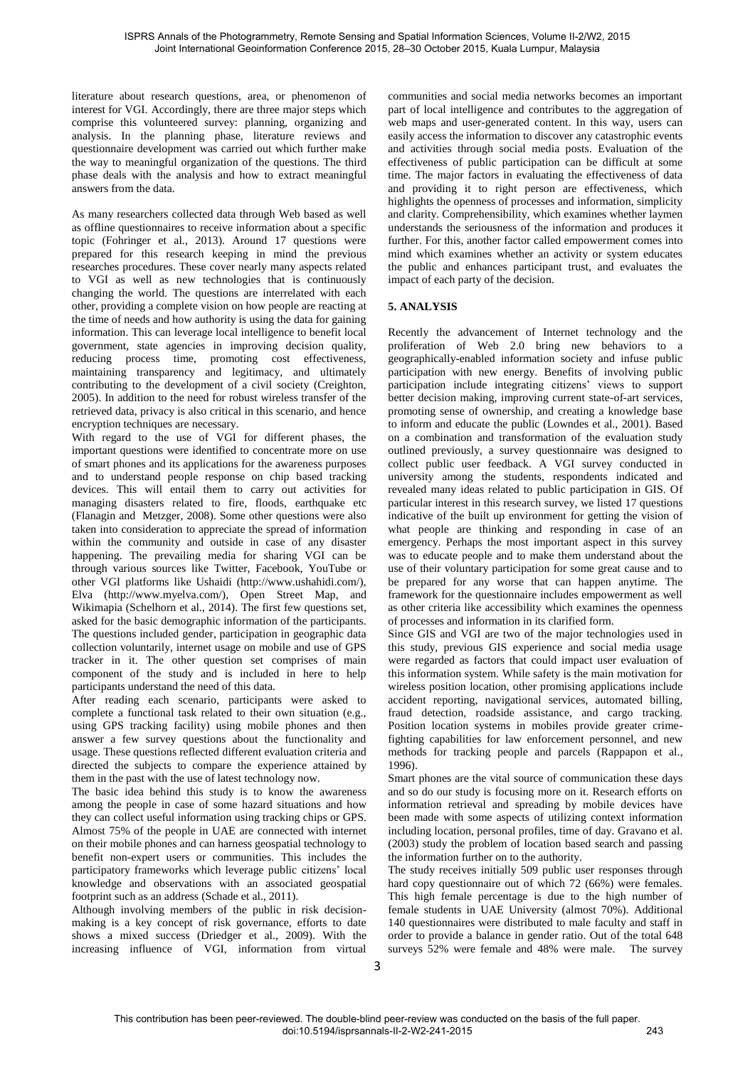literature about research questions, area, or phenomenon of interest for VGI. Accordingly, there are three major steps which comprise this volunteered survey: planning, organizing and analysis. In the planning phase, literature reviews and questionnaire development was carried out which further make the way to meaningful organization of the questions. The third phase deals with the analysis and how to extract meaningful answers from the data.

As many researchers collected data through Web based as well as offline questionnaires to receive information about a specific topic (Fohringer et al., 2013). Around 17 questions were prepared for this research keeping in mind the previous researches procedures. These cover nearly many aspects related to VGI as well as new technologies that is continuously changing the world. The questions are interrelated with each other, providing a complete vision on how people are reacting at the time of needs and how authority is using the data for gaining information. This can leverage local intelligence to benefit local government, state agencies in improving decision quality, reducing process time, promoting cost effectiveness, maintaining transparency and legitimacy, and ultimately contributing to the development of a civil society (Creighton, 2005). In addition to the need for robust wireless transfer of the retrieved data, privacy is also critical in this scenario, and hence encryption techniques are necessary.

With regard to the use of VGI for different phases, the important questions were identified to concentrate more on use of smart phones and its applications for the awareness purposes and to understand people response on chip based tracking devices. This will entail them to carry out activities for managing disasters related to fire, floods, earthquake etc (Flanagin and Metzger, 2008). Some other questions were also taken into consideration to appreciate the spread of information within the community and outside in case of any disaster happening. The prevailing media for sharing VGI can be through various sources like Twitter, Facebook, YouTube or other VGI platforms like Ushaidi (http://www.ushahidi.com/), Elva (http://www.myelva.com/), Open Street Map, and Wikimapia (Schelhorn et al., 2014). The first few questions set, asked for the basic demographic information of the participants. The questions included gender, participation in geographic data collection voluntarily, internet usage on mobile and use of GPS tracker in it. The other question set comprises of main component of the study and is included in here to help participants understand the need of this data.

After reading each scenario, participants were asked to complete a functional task related to their own situation (e.g., using GPS tracking facility) using mobile phones and then answer a few survey questions about the functionality and usage. These questions reflected different evaluation criteria and directed the subjects to compare the experience attained by them in the past with the use of latest technology now.

The basic idea behind this study is to know the awareness among the people in case of some hazard situations and how they can collect useful information using tracking chips or GPS. Almost 75% of the people in UAE are connected with internet on their mobile phones and can harness geospatial technology to benefit non-expert users or communities. This includes the participatory frameworks which leverage public citizens' local knowledge and observations with an associated geospatial footprint such as an address (Schade et al., 2011).

Although involving members of the public in risk decisionmaking is a key concept of risk governance, efforts to date shows a mixed success (Driedger et al., 2009). With the increasing influence of VGI, information from virtual communities and social media networks becomes an important part of local intelligence and contributes to the aggregation of web maps and user-generated content. In this way, users can easily access the information to discover any catastrophic events and activities through social media posts. Evaluation of the effectiveness of public participation can be difficult at some time. The major factors in evaluating the effectiveness of data and providing it to right person are effectiveness, which highlights the openness of processes and information, simplicity and clarity. Comprehensibility, which examines whether laymen understands the seriousness of the information and produces it further. For this, another factor called empowerment comes into mind which examines whether an activity or system educates the public and enhances participant trust, and evaluates the impact of each party of the decision.

# **5. ANALYSIS**

Recently the advancement of Internet technology and the proliferation of Web 2.0 bring new behaviors to a geographically-enabled information society and infuse public participation with new energy. Benefits of involving public participation include integrating citizens' views to support better decision making, improving current state-of-art services, promoting sense of ownership, and creating a knowledge base to inform and educate the public (Lowndes et al., 2001). Based on a combination and transformation of the evaluation study outlined previously, a survey questionnaire was designed to collect public user feedback. A VGI survey conducted in university among the students, respondents indicated and revealed many ideas related to public participation in GIS. Of particular interest in this research survey, we listed 17 questions indicative of the built up environment for getting the vision of what people are thinking and responding in case of an emergency. Perhaps the most important aspect in this survey was to educate people and to make them understand about the use of their voluntary participation for some great cause and to be prepared for any worse that can happen anytime. The framework for the questionnaire includes empowerment as well as other criteria like accessibility which examines the openness of processes and information in its clarified form.

Since GIS and VGI are two of the major technologies used in this study, previous GIS experience and social media usage were regarded as factors that could impact user evaluation of this information system. While safety is the main motivation for wireless position location, other promising applications include accident reporting, navigational services, automated billing, fraud detection, roadside assistance, and cargo tracking. Position location systems in mobiles provide greater crimefighting capabilities for law enforcement personnel, and new methods for tracking people and parcels (Rappapon et al., 1996).

Smart phones are the vital source of communication these days and so do our study is focusing more on it. Research efforts on information retrieval and spreading by mobile devices have been made with some aspects of utilizing context information including location, personal profiles, time of day. Gravano et al. (2003) study the problem of location based search and passing the information further on to the authority.

The study receives initially 509 public user responses through hard copy questionnaire out of which 72 (66%) were females. This high female percentage is due to the high number of female students in UAE University (almost 70%). Additional 140 questionnaires were distributed to male faculty and staff in order to provide a balance in gender ratio. Out of the total 648 surveys 52% were female and 48% were male. The survey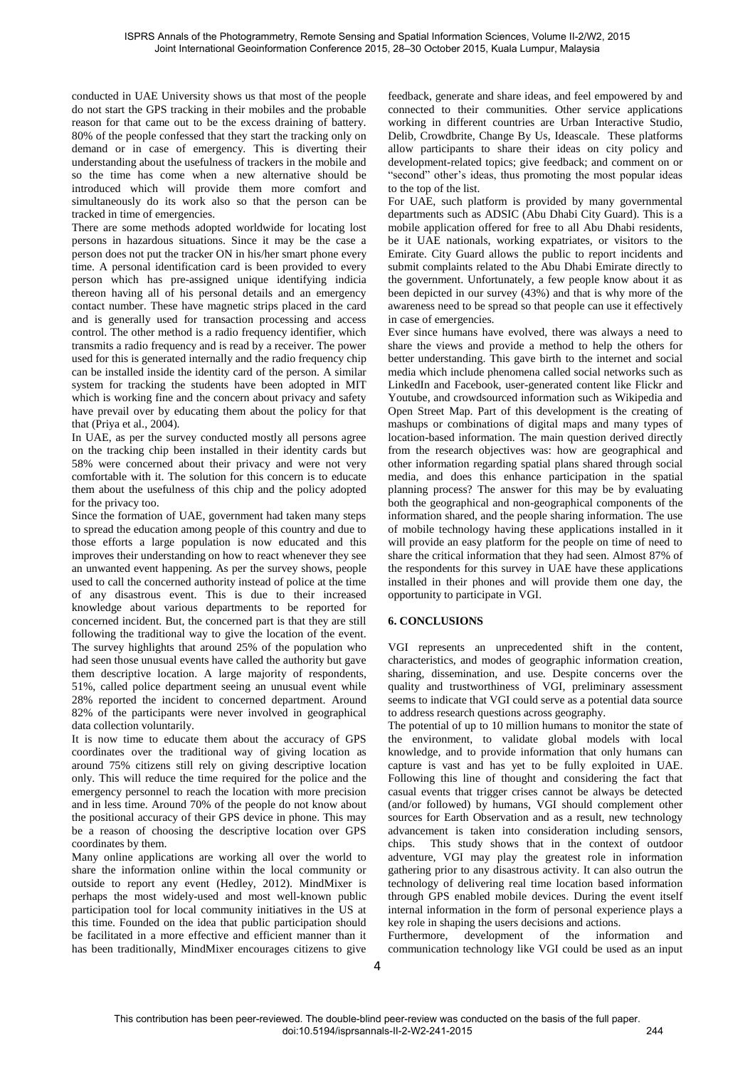conducted in UAE University shows us that most of the people do not start the GPS tracking in their mobiles and the probable reason for that came out to be the excess draining of battery. 80% of the people confessed that they start the tracking only on demand or in case of emergency. This is diverting their understanding about the usefulness of trackers in the mobile and so the time has come when a new alternative should be introduced which will provide them more comfort and simultaneously do its work also so that the person can be tracked in time of emergencies.

There are some methods adopted worldwide for locating lost persons in hazardous situations. Since it may be the case a person does not put the tracker ON in his/her smart phone every time. A personal identification card is been provided to every person which has pre-assigned unique identifying indicia thereon having all of his personal details and an emergency contact number. These have magnetic strips placed in the card and is generally used for transaction processing and access control. The other method is a radio frequency identifier, which transmits a radio frequency and is read by a receiver. The power used for this is generated internally and the radio frequency chip can be installed inside the identity card of the person. A similar system for tracking the students have been adopted in MIT which is working fine and the concern about privacy and safety have prevail over by educating them about the policy for that that (Priya et al., 2004).

In UAE, as per the survey conducted mostly all persons agree on the tracking chip been installed in their identity cards but 58% were concerned about their privacy and were not very comfortable with it. The solution for this concern is to educate them about the usefulness of this chip and the policy adopted for the privacy too.

Since the formation of UAE, government had taken many steps to spread the education among people of this country and due to those efforts a large population is now educated and this improves their understanding on how to react whenever they see an unwanted event happening. As per the survey shows, people used to call the concerned authority instead of police at the time of any disastrous event. This is due to their increased knowledge about various departments to be reported for concerned incident. But, the concerned part is that they are still following the traditional way to give the location of the event. The survey highlights that around 25% of the population who had seen those unusual events have called the authority but gave them descriptive location. A large majority of respondents, 51%, called police department seeing an unusual event while 28% reported the incident to concerned department. Around 82% of the participants were never involved in geographical data collection voluntarily.

It is now time to educate them about the accuracy of GPS coordinates over the traditional way of giving location as around 75% citizens still rely on giving descriptive location only. This will reduce the time required for the police and the emergency personnel to reach the location with more precision and in less time. Around 70% of the people do not know about the positional accuracy of their GPS device in phone. This may be a reason of choosing the descriptive location over GPS coordinates by them.

Many online applications are working all over the world to share the information online within the local community or outside to report any event (Hedley, 2012). MindMixer is perhaps the most widely-used and most well-known public participation tool for local community initiatives in the US at this time. Founded on the idea that public participation should be facilitated in a more effective and efficient manner than it has been traditionally, MindMixer encourages citizens to give feedback, generate and share ideas, and feel empowered by and connected to their communities. Other service applications working in different countries are Urban Interactive Studio, Delib, Crowdbrite, Change By Us, Ideascale. These platforms allow participants to share their ideas on city policy and development-related topics; give feedback; and comment on or "second" other's ideas, thus promoting the most popular ideas to the top of the list.

For UAE, such platform is provided by many governmental departments such as ADSIC (Abu Dhabi City Guard). This is a mobile application offered for free to all Abu Dhabi residents, be it UAE nationals, working expatriates, or visitors to the Emirate. City Guard allows the public to report incidents and submit complaints related to the Abu Dhabi Emirate directly to the government. Unfortunately, a few people know about it as been depicted in our survey (43%) and that is why more of the awareness need to be spread so that people can use it effectively in case of emergencies.

Ever since humans have evolved, there was always a need to share the views and provide a method to help the others for better understanding. This gave birth to the internet and social media which include phenomena called social networks such as LinkedIn and Facebook, user-generated content like Flickr and Youtube, and crowdsourced information such as Wikipedia and Open Street Map. Part of this development is the creating of mashups or combinations of digital maps and many types of location-based information. The main question derived directly from the research objectives was: how are geographical and other information regarding spatial plans shared through social media, and does this enhance participation in the spatial planning process? The answer for this may be by evaluating both the geographical and non-geographical components of the information shared, and the people sharing information. The use of mobile technology having these applications installed in it will provide an easy platform for the people on time of need to share the critical information that they had seen. Almost 87% of the respondents for this survey in UAE have these applications installed in their phones and will provide them one day, the opportunity to participate in VGI.

### **6. CONCLUSIONS**

VGI represents an unprecedented shift in the content, characteristics, and modes of geographic information creation, sharing, dissemination, and use. Despite concerns over the quality and trustworthiness of VGI, preliminary assessment seems to indicate that VGI could serve as a potential data source to address research questions across geography.

The potential of up to 10 million humans to monitor the state of the environment, to validate global models with local knowledge, and to provide information that only humans can capture is vast and has yet to be fully exploited in UAE. Following this line of thought and considering the fact that casual events that trigger crises cannot be always be detected (and/or followed) by humans, VGI should complement other sources for Earth Observation and as a result, new technology advancement is taken into consideration including sensors, chips. This study shows that in the context of outdoor adventure, VGI may play the greatest role in information gathering prior to any disastrous activity. It can also outrun the technology of delivering real time location based information through GPS enabled mobile devices. During the event itself internal information in the form of personal experience plays a key role in shaping the users decisions and actions.

Furthermore, development of the information and communication technology like VGI could be used as an input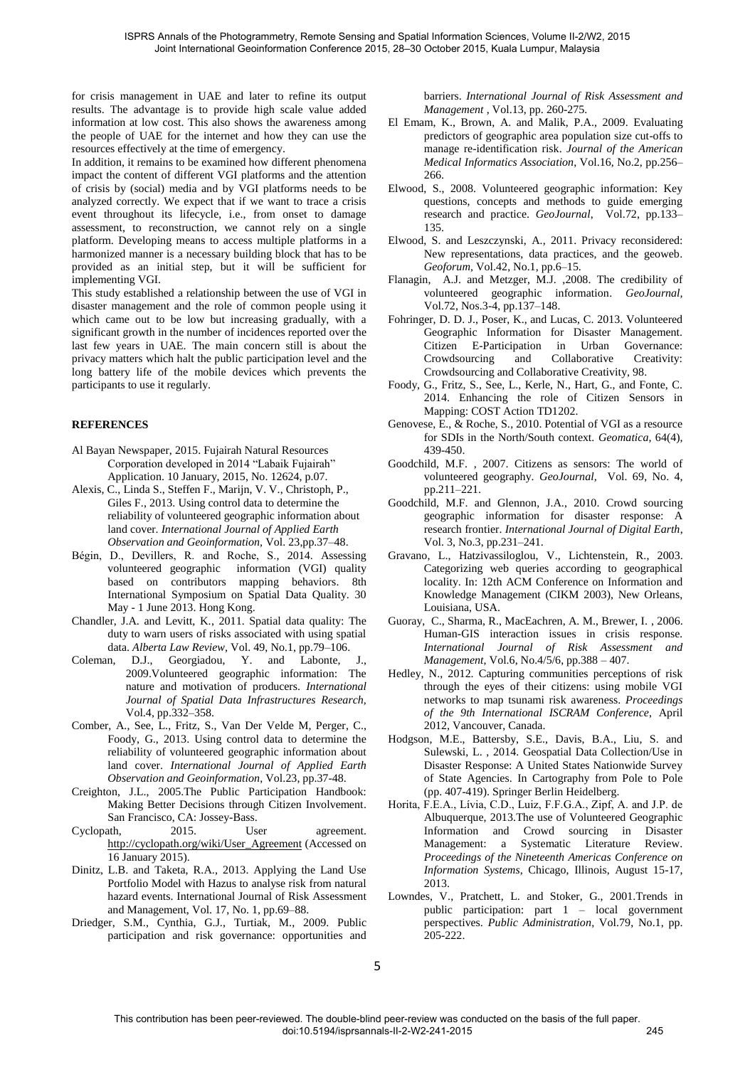for crisis management in UAE and later to refine its output results. The advantage is to provide high scale value added information at low cost. This also shows the awareness among the people of UAE for the internet and how they can use the resources effectively at the time of emergency.

In addition, it remains to be examined how different phenomena impact the content of different VGI platforms and the attention of crisis by (social) media and by VGI platforms needs to be analyzed correctly. We expect that if we want to trace a crisis event throughout its lifecycle, i.e., from onset to damage assessment, to reconstruction, we cannot rely on a single platform. Developing means to access multiple platforms in a harmonized manner is a necessary building block that has to be provided as an initial step, but it will be sufficient for implementing VGI.

This study established a relationship between the use of VGI in disaster management and the role of common people using it which came out to be low but increasing gradually, with a significant growth in the number of incidences reported over the last few years in UAE. The main concern still is about the privacy matters which halt the public participation level and the long battery life of the mobile devices which prevents the participants to use it regularly.

#### **REFERENCES**

- Al Bayan Newspaper, 2015. Fujairah Natural Resources Corporation developed in 2014 "Labaik Fujairah" Application. 10 January, 2015, No. 12624, p.07.
- Alexis, C., Linda S., Steffen F., Marijn, V. V., Christoph, P., Giles F., 2013. Using control data to determine the reliability of volunteered geographic information about land cover. *International Journal of Applied Earth Observation and Geoinformation,* Vol. 23,pp.37–48.
- Bégin, D., Devillers, R. and Roche, S., 2014. Assessing volunteered geographic information (VGI) quality based on contributors mapping behaviors. 8th International Symposium on Spatial Data Quality. 30 May - 1 June 2013. Hong Kong.
- Chandler, J.A. and Levitt, K., 2011. Spatial data quality: The duty to warn users of risks associated with using spatial data. *Alberta Law Review*, Vol. 49, No.1, pp.79–106.
- Coleman, D.J., Georgiadou, Y. and Labonte, J., 2009.Volunteered geographic information: The nature and motivation of producers. *International Journal of Spatial Data Infrastructures Research,* Vol.4, pp.332–358.
- Comber, A., See, L., Fritz, S., Van Der Velde M, Perger, C., Foody, G., 2013. Using control data to determine the reliability of volunteered geographic information about land cover. *International Journal of Applied Earth Observation and Geoinformation*, Vol.23, pp.37-48.
- Creighton, J.L., 2005.The Public Participation Handbook: Making Better Decisions through Citizen Involvement. San Francisco, CA: Jossey-Bass.
- Cyclopath, 2015. User agreement. [http://cyclopath.org/wiki/User\\_Agreement \(](http://cyclopath.org/wiki/User_Agreement)Accessed on 16 January 2015).
- Dinitz, L.B. and Taketa, R.A., 2013. Applying the Land Use Portfolio Model with Hazus to analyse risk from natural hazard events. International Journal of Risk Assessment and Management, Vol. 17, No. 1, pp.69–88.
- Driedger, S.M., Cynthia, G.J., Turtiak, M., 2009. Public participation and risk governance: opportunities and

barriers. *International Journal of Risk Assessment and Management* , Vol.13, pp. 260-275.

- El Emam, K., Brown, A. and Malik, P.A., 2009. Evaluating predictors of geographic area population size cut-offs to manage re-identification risk. *Journal of the American Medical Informatics Association*, Vol.16, No.2, pp.256– 266.
- Elwood, S., 2008. Volunteered geographic information: Key questions, concepts and methods to guide emerging research and practice. *GeoJournal*, Vol.72, pp.133– 135.
- Elwood, S. and Leszczynski, A., 2011. Privacy reconsidered: New representations, data practices, and the geoweb. *Geoforum,* Vol.42, No.1, pp.6–15.
- Flanagin, A.J. and Metzger, M.J. ,2008. The credibility of volunteered geographic information. *GeoJournal,* Vol.72, Nos.3-4, pp.137–148.
- Fohringer, D. D. J., Poser, K., and Lucas, C. 2013. Volunteered Geographic Information for Disaster Management. Citizen E-Participation in Urban Governance: Crowdsourcing and Collaborative Creativity: Crowdsourcing and Collaborative Creativity, 98.
- Foody, G., Fritz, S., See, L., Kerle, N., Hart, G., and Fonte, C. 2014. Enhancing the role of Citizen Sensors in Mapping: COST Action TD1202.
- Genovese, E., & Roche, S., 2010. Potential of VGI as a resource for SDIs in the North/South context. *Geomatica,* 64(4), 439-450.
- Goodchild, M.F. , 2007. Citizens as sensors: The world of volunteered geography. *GeoJournal,* Vol. 69, No. 4, pp.211–221.
- Goodchild, M.F. and Glennon, J.A., 2010. Crowd sourcing geographic information for disaster response: A research frontier. *International Journal of Digital Earth*, Vol. 3, No.3, pp.231–241.
- Gravano, L., Hatzivassiloglou, V., Lichtenstein, R., 2003. Categorizing web queries according to geographical locality. In: 12th ACM Conference on Information and Knowledge Management (CIKM 2003), New Orleans, Louisiana, USA.
- Guoray, C., Sharma, R., MacEachren, A. M., Brewer, I. , 2006. Human-GIS interaction issues in crisis response*. International Journal of Risk Assessment and Management*, Vol.6, No.4/5/6, pp.388 – 407.
- Hedley, N., 2012. Capturing communities perceptions of risk through the eyes of their citizens: using mobile VGI networks to map tsunami risk awareness. *Proceedings of the 9th International ISCRAM Conference*, April 2012, Vancouver, Canada.
- Hodgson, M.E., Battersby, S.E., Davis, B.A., Liu, S. and Sulewski, L. , 2014. Geospatial Data Collection/Use in Disaster Response: A United States Nationwide Survey of State Agencies. In Cartography from Pole to Pole (pp. 407-419). Springer Berlin Heidelberg.
- Horita, F.E.A., Lívia, C.D., Luiz, F.F.G.A., Zipf, A. and J.P. de Albuquerque, 2013.The use of Volunteered Geographic Information and Crowd sourcing in Disaster Management: a Systematic Literature Review. *Proceedings of the Nineteenth Americas Conference on Information Systems*, Chicago, Illinois, August 15-17, 2013.
- Lowndes, V., Pratchett, L. and Stoker, G., 2001.Trends in public participation: part 1 – local government perspectives. *Public Administration,* Vol.79, No.1, pp. 205-222.